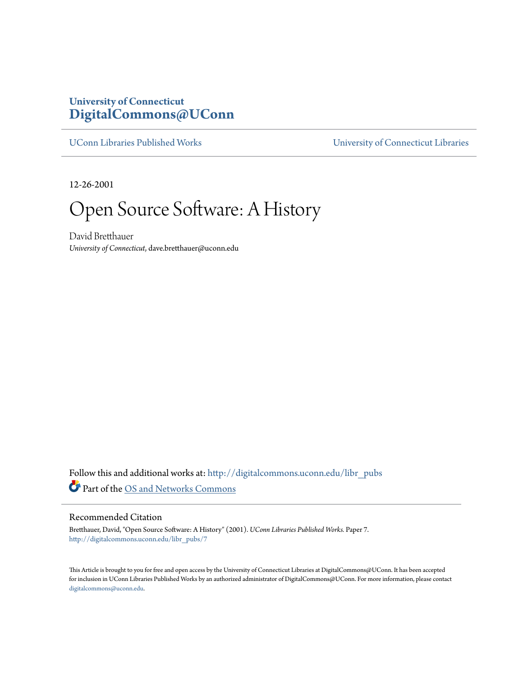## **University of Connecticut [DigitalCommons@UConn](http://digitalcommons.uconn.edu?utm_source=digitalcommons.uconn.edu%2Flibr_pubs%2F7&utm_medium=PDF&utm_campaign=PDFCoverPages)**

[UConn Libraries Published Works](http://digitalcommons.uconn.edu/libr_pubs?utm_source=digitalcommons.uconn.edu%2Flibr_pubs%2F7&utm_medium=PDF&utm_campaign=PDFCoverPages) [University of Connecticut Libraries](http://digitalcommons.uconn.edu/libr?utm_source=digitalcommons.uconn.edu%2Flibr_pubs%2F7&utm_medium=PDF&utm_campaign=PDFCoverPages)

12-26-2001

Open Source Software: A History

David Bretthauer *University of Connecticut*, dave.bretthauer@uconn.edu

Follow this and additional works at: [http://digitalcommons.uconn.edu/libr\\_pubs](http://digitalcommons.uconn.edu/libr_pubs?utm_source=digitalcommons.uconn.edu%2Flibr_pubs%2F7&utm_medium=PDF&utm_campaign=PDFCoverPages) Part of the [OS and Networks Commons](http://network.bepress.com/hgg/discipline/149?utm_source=digitalcommons.uconn.edu%2Flibr_pubs%2F7&utm_medium=PDF&utm_campaign=PDFCoverPages)

## Recommended Citation

Bretthauer, David, "Open Source Software: A History" (2001). *UConn Libraries Published Works.* Paper 7. [http://digitalcommons.uconn.edu/libr\\_pubs/7](http://digitalcommons.uconn.edu/libr_pubs/7?utm_source=digitalcommons.uconn.edu%2Flibr_pubs%2F7&utm_medium=PDF&utm_campaign=PDFCoverPages)

This Article is brought to you for free and open access by the University of Connecticut Libraries at DigitalCommons@UConn. It has been accepted for inclusion in UConn Libraries Published Works by an authorized administrator of DigitalCommons@UConn. For more information, please contact [digitalcommons@uconn.edu.](mailto:digitalcommons@uconn.edu)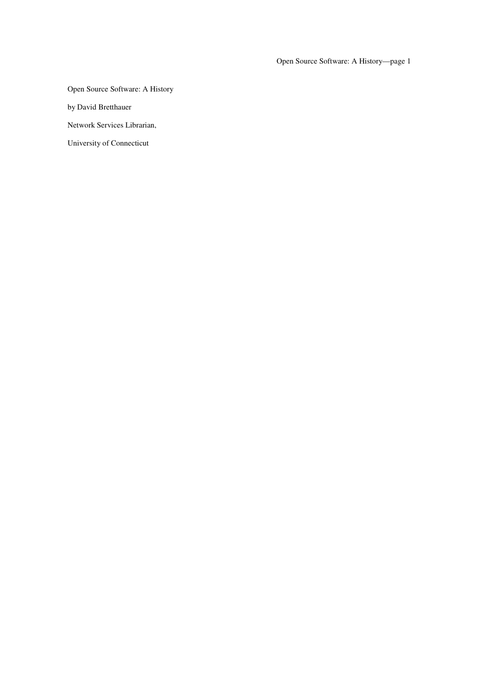Open Source Software: A History—page 1

Open Source Software: A History

by David Bretthauer

Network Services Librarian,

University of Connecticut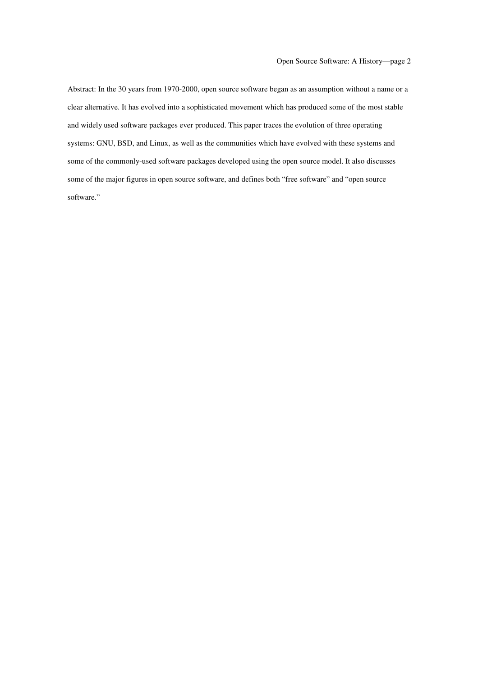Abstract: In the 30 years from 1970-2000, open source software began as an assumption without a name or a clear alternative. It has evolved into a sophisticated movement which has produced some of the most stable and widely used software packages ever produced. This paper traces the evolution of three operating systems: GNU, BSD, and Linux, as well as the communities which have evolved with these systems and some of the commonly-used software packages developed using the open source model. It also discusses some of the major figures in open source software, and defines both "free software" and "open source software."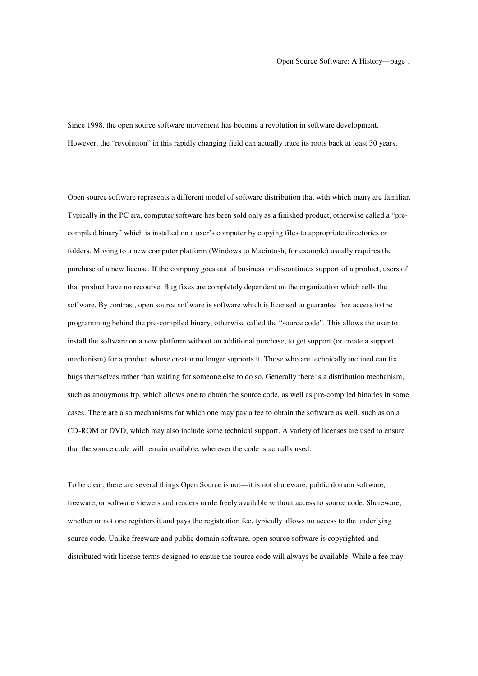Since 1998, the open source software movement has become a revolution in software development. However, the "revolution" in this rapidly changing field can actually trace its roots back at least 30 years.

Open source software represents a different model of software distribution that with which many are familiar. Typically in the PC era, computer software has been sold only as a finished product, otherwise called a "precompiled binary" which is installed on a user's computer by copying files to appropriate directories or folders. Moving to a new computer platform (Windows to Macintosh, for example) usually requires the purchase of a new license. If the company goes out of business or discontinues support of a product, users of that product have no recourse. Bug fixes are completely dependent on the organization which sells the software. By contrast, open source software is software which is licensed to guarantee free access to the programming behind the pre-compiled binary, otherwise called the "source code". This allows the user to install the software on a new platform without an additional purchase, to get support (or create a support mechanism) for a product whose creator no longer supports it. Those who are technically inclined can fix bugs themselves rather than waiting for someone else to do so. Generally there is a distribution mechanism, such as anonymous ftp, which allows one to obtain the source code, as well as pre-compiled binaries in some cases. There are also mechanisms for which one may pay a fee to obtain the software as well, such as on a CD-ROM or DVD, which may also include some technical support. A variety of licenses are used to ensure that the source code will remain available, wherever the code is actually used.

To be clear, there are several things Open Source is not—it is not shareware, public domain software, freeware, or software viewers and readers made freely available without access to source code. Shareware, whether or not one registers it and pays the registration fee, typically allows no access to the underlying source code. Unlike freeware and public domain software, open source software is copyrighted and distributed with license terms designed to ensure the source code will always be available. While a fee may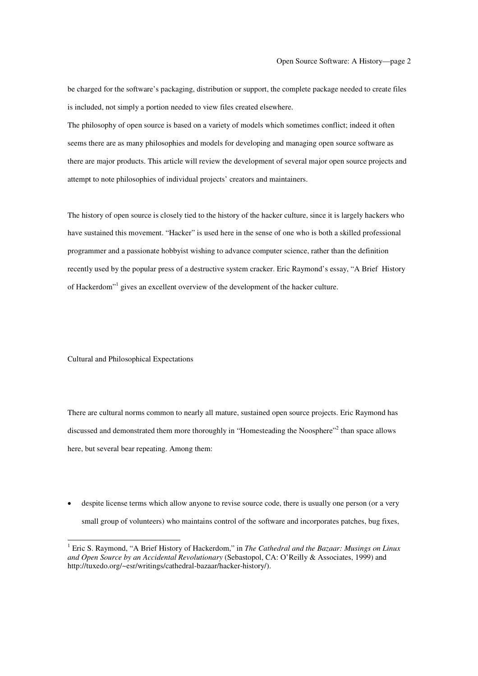be charged for the software's packaging, distribution or support, the complete package needed to create files is included, not simply a portion needed to view files created elsewhere.

The philosophy of open source is based on a variety of models which sometimes conflict; indeed it often seems there are as many philosophies and models for developing and managing open source software as there are major products. This article will review the development of several major open source projects and attempt to note philosophies of individual projects' creators and maintainers.

The history of open source is closely tied to the history of the hacker culture, since it is largely hackers who have sustained this movement. "Hacker" is used here in the sense of one who is both a skilled professional programmer and a passionate hobbyist wishing to advance computer science, rather than the definition recently used by the popular press of a destructive system cracker. Eric Raymond's essay, "A Brief History of Hackerdom"<sup>1</sup> gives an excellent overview of the development of the hacker culture.

Cultural and Philosophical Expectations

There are cultural norms common to nearly all mature, sustained open source projects. Eric Raymond has discussed and demonstrated them more thoroughly in "Homesteading the Noosphere"<sup>2</sup> than space allows here, but several bear repeating. Among them:

despite license terms which allow anyone to revise source code, there is usually one person (or a very small group of volunteers) who maintains control of the software and incorporates patches, bug fixes,

<sup>1</sup> Eric S. Raymond, "A Brief History of Hackerdom," in *The Cathedral and the Bazaar: Musings on Linux and Open Source by an Accidental Revolutionary* (Sebastopol, CA: O'Reilly & Associates, 1999) and http://tuxedo.org/~esr/writings/cathedral-bazaar/hacker-history/).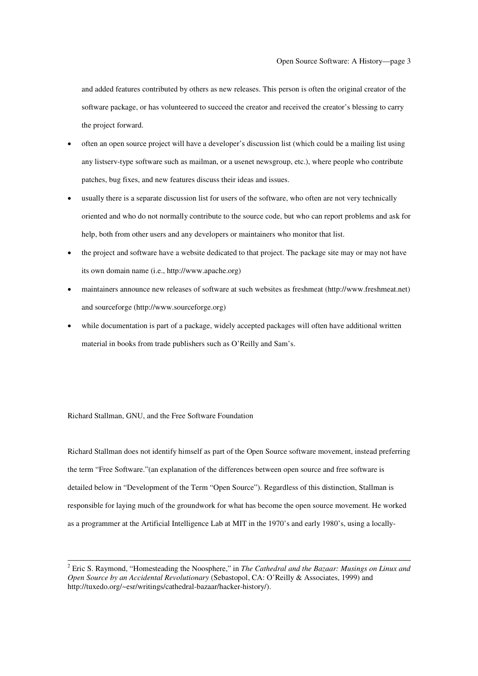and added features contributed by others as new releases. This person is often the original creator of the software package, or has volunteered to succeed the creator and received the creator's blessing to carry the project forward.

- often an open source project will have a developer's discussion list (which could be a mailing list using any listserv-type software such as mailman, or a usenet newsgroup, etc.), where people who contribute patches, bug fixes, and new features discuss their ideas and issues.
- usually there is a separate discussion list for users of the software, who often are not very technically oriented and who do not normally contribute to the source code, but who can report problems and ask for help, both from other users and any developers or maintainers who monitor that list.
- the project and software have a website dedicated to that project. The package site may or may not have its own domain name (i.e., http://www.apache.org)
- maintainers announce new releases of software at such websites as freshmeat (http://www.freshmeat.net) and sourceforge (http://www.sourceforge.org)
- while documentation is part of a package, widely accepted packages will often have additional written material in books from trade publishers such as O'Reilly and Sam's.

Richard Stallman, GNU, and the Free Software Foundation

Richard Stallman does not identify himself as part of the Open Source software movement, instead preferring the term "Free Software."(an explanation of the differences between open source and free software is detailed below in "Development of the Term "Open Source"). Regardless of this distinction, Stallman is responsible for laying much of the groundwork for what has become the open source movement. He worked as a programmer at the Artificial Intelligence Lab at MIT in the 1970's and early 1980's, using a locally-

<sup>2</sup> Eric S. Raymond, "Homesteading the Noosphere," in *The Cathedral and the Bazaar: Musings on Linux and Open Source by an Accidental Revolutionary* (Sebastopol, CA: O'Reilly & Associates, 1999) and http://tuxedo.org/~esr/writings/cathedral-bazaar/hacker-history/).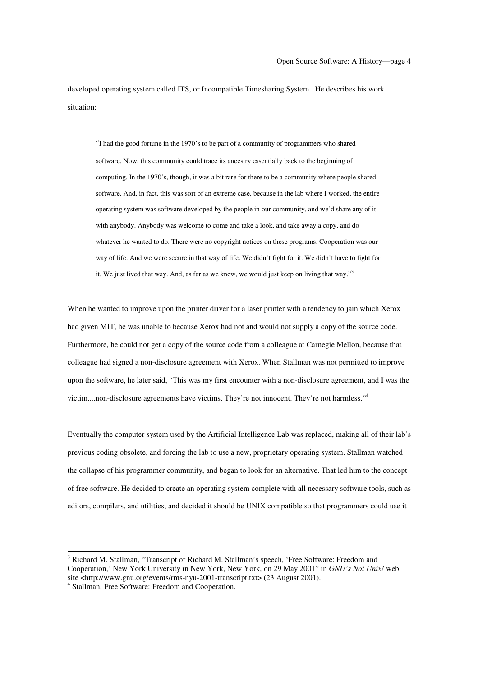developed operating system called ITS, or Incompatible Timesharing System. He describes his work situation:

"I had the good fortune in the 1970's to be part of a community of programmers who shared software. Now, this community could trace its ancestry essentially back to the beginning of computing. In the 1970's, though, it was a bit rare for there to be a community where people shared software. And, in fact, this was sort of an extreme case, because in the lab where I worked, the entire operating system was software developed by the people in our community, and we'd share any of it with anybody. Anybody was welcome to come and take a look, and take away a copy, and do whatever he wanted to do. There were no copyright notices on these programs. Cooperation was our way of life. And we were secure in that way of life. We didn't fight for it. We didn't have to fight for it. We just lived that way. And, as far as we knew, we would just keep on living that way."<sup>3</sup>

When he wanted to improve upon the printer driver for a laser printer with a tendency to jam which Xerox had given MIT, he was unable to because Xerox had not and would not supply a copy of the source code. Furthermore, he could not get a copy of the source code from a colleague at Carnegie Mellon, because that colleague had signed a non-disclosure agreement with Xerox. When Stallman was not permitted to improve upon the software, he later said, "This was my first encounter with a non-disclosure agreement, and I was the victim....non-disclosure agreements have victims. They're not innocent. They're not harmless."<sup>4</sup>

Eventually the computer system used by the Artificial Intelligence Lab was replaced, making all of their lab's previous coding obsolete, and forcing the lab to use a new, proprietary operating system. Stallman watched the collapse of his programmer community, and began to look for an alternative. That led him to the concept of free software. He decided to create an operating system complete with all necessary software tools, such as editors, compilers, and utilities, and decided it should be UNIX compatible so that programmers could use it

<sup>&</sup>lt;sup>3</sup> Richard M. Stallman, "Transcript of Richard M. Stallman's speech, 'Free Software: Freedom and Cooperation,' New York University in New York, New York, on 29 May 2001" in *GNU's Not Unix!* web site <http://www.gnu.org/events/rms-nyu-2001-transcript.txt> (23 August 2001). <sup>4</sup> Stallman, Free Software: Freedom and Cooperation.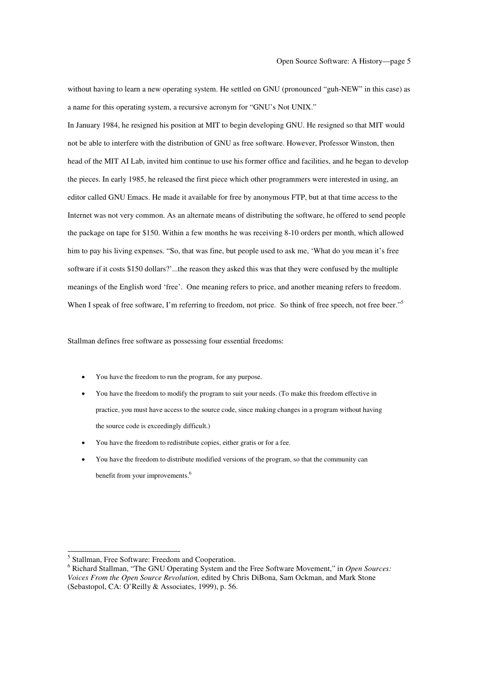without having to learn a new operating system. He settled on GNU (pronounced "guh-NEW" in this case) as a name for this operating system, a recursive acronym for "GNU's Not UNIX."

In January 1984, he resigned his position at MIT to begin developing GNU. He resigned so that MIT would not be able to interfere with the distribution of GNU as free software. However, Professor Winston, then head of the MIT AI Lab, invited him continue to use his former office and facilities, and he began to develop the pieces. In early 1985, he released the first piece which other programmers were interested in using, an editor called GNU Emacs. He made it available for free by anonymous FTP, but at that time access to the Internet was not very common. As an alternate means of distributing the software, he offered to send people the package on tape for \$150. Within a few months he was receiving 8-10 orders per month, which allowed him to pay his living expenses. "So, that was fine, but people used to ask me, 'What do you mean it's free software if it costs \$150 dollars?'...the reason they asked this was that they were confused by the multiple meanings of the English word 'free'. One meaning refers to price, and another meaning refers to freedom. When I speak of free software, I'm referring to freedom, not price. So think of free speech, not free beer."<sup>5</sup>

Stallman defines free software as possessing four essential freedoms:

- You have the freedom to run the program, for any purpose.
- You have the freedom to modify the program to suit your needs. (To make this freedom effective in practice, you must have access to the source code, since making changes in a program without having the source code is exceedingly difficult.)
- You have the freedom to redistribute copies, either gratis or for a fee.
- You have the freedom to distribute modified versions of the program, so that the community can benefit from your improvements.<sup>6</sup>

<sup>5</sup> Stallman, Free Software: Freedom and Cooperation. <sup>6</sup> Richard Stallman, "The GNU Operating System and the Free Software Movement," in *Open Sources: Voices From the Open Source Revolution,* edited by Chris DiBona, Sam Ockman, and Mark Stone (Sebastopol, CA: O'Reilly & Associates, 1999), p. 56.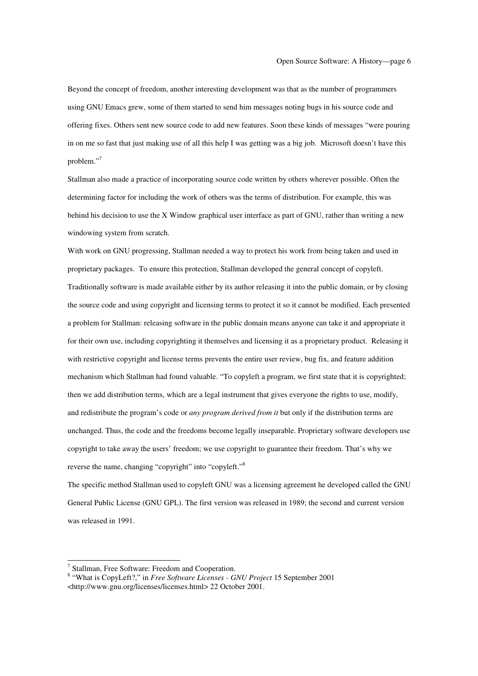Beyond the concept of freedom, another interesting development was that as the number of programmers using GNU Emacs grew, some of them started to send him messages noting bugs in his source code and offering fixes. Others sent new source code to add new features. Soon these kinds of messages "were pouring in on me so fast that just making use of all this help I was getting was a big job. Microsoft doesn't have this problem." 7

Stallman also made a practice of incorporating source code written by others wherever possible. Often the determining factor for including the work of others was the terms of distribution. For example, this was behind his decision to use the X Window graphical user interface as part of GNU, rather than writing a new windowing system from scratch.

With work on GNU progressing, Stallman needed a way to protect his work from being taken and used in proprietary packages. To ensure this protection, Stallman developed the general concept of copyleft. Traditionally software is made available either by its author releasing it into the public domain, or by closing the source code and using copyright and licensing terms to protect it so it cannot be modified. Each presented a problem for Stallman: releasing software in the public domain means anyone can take it and appropriate it for their own use, including copyrighting it themselves and licensing it as a proprietary product. Releasing it with restrictive copyright and license terms prevents the entire user review, bug fix, and feature addition mechanism which Stallman had found valuable. "To copyleft a program, we first state that it is copyrighted; then we add distribution terms, which are a legal instrument that gives everyone the rights to use, modify, and redistribute the program's code or *any program derived from it* but only if the distribution terms are unchanged. Thus, the code and the freedoms become legally inseparable. Proprietary software developers use copyright to take away the users' freedom; we use copyright to guarantee their freedom. That's why we reverse the name, changing "copyright" into "copyleft."<sup>8</sup>

The specific method Stallman used to copyleft GNU was a licensing agreement he developed called the GNU General Public License (GNU GPL). The first version was released in 1989; the second and current version was released in 1991.

<sup>7</sup> Stallman, Free Software: Freedom and Cooperation. <sup>8</sup> "What is CopyLeft?," in *Free Software Licenses - GNU Project* <sup>15</sup> September <sup>2001</sup> <http://www.gnu.org/licenses/licenses.html> 22 October 2001.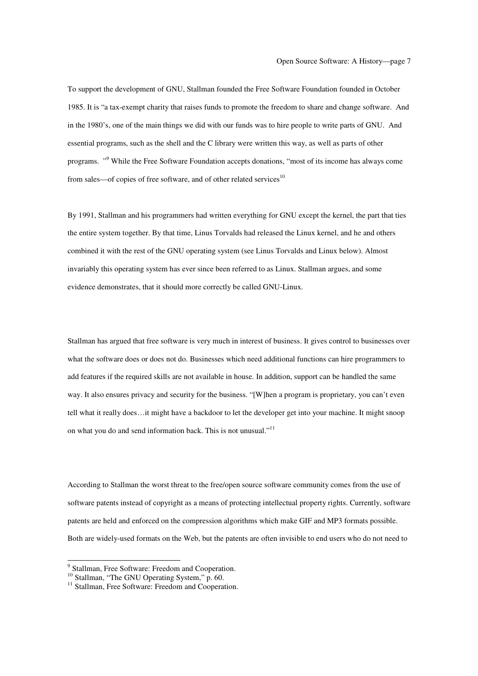To support the development of GNU, Stallman founded the Free Software Foundation founded in October 1985. It is "a tax-exempt charity that raises funds to promote the freedom to share and change software. And in the 1980's, one of the main things we did with our funds was to hire people to write parts of GNU. And essential programs, such as the shell and the C library were written this way, as well as parts of other programs. "<sup>9</sup> While the Free Software Foundation accepts donations, "most of its income has always come from sales—of copies of free software, and of other related services<sup>10</sup>

By 1991, Stallman and his programmers had written everything for GNU except the kernel, the part that ties the entire system together. By that time, Linus Torvalds had released the Linux kernel, and he and others combined it with the rest of the GNU operating system (see Linus Torvalds and Linux below). Almost invariably this operating system has ever since been referred to as Linux. Stallman argues, and some evidence demonstrates, that it should more correctly be called GNU-Linux.

Stallman has argued that free software is very much in interest of business. It gives control to businesses over what the software does or does not do. Businesses which need additional functions can hire programmers to add features if the required skills are not available in house. In addition, support can be handled the same way. It also ensures privacy and security for the business. "[W]hen a program is proprietary, you can't even tell what it really does…it might have a backdoor to let the developer get into your machine. It might snoop on what you do and send information back. This is not unusual."<sup>11</sup>

According to Stallman the worst threat to the free/open source software community comes from the use of software patents instead of copyright as a means of protecting intellectual property rights. Currently, software patents are held and enforced on the compression algorithms which make GIF and MP3 formats possible. Both are widely-used formats on the Web, but the patents are often invisible to end users who do not need to

<sup>&</sup>lt;sup>9</sup> Stallman, Free Software: Freedom and Cooperation.<br><sup>10</sup> Stallman, "The GNU Operating System," p. 60.<br><sup>11</sup> Stallman, Free Software: Freedom and Cooperation.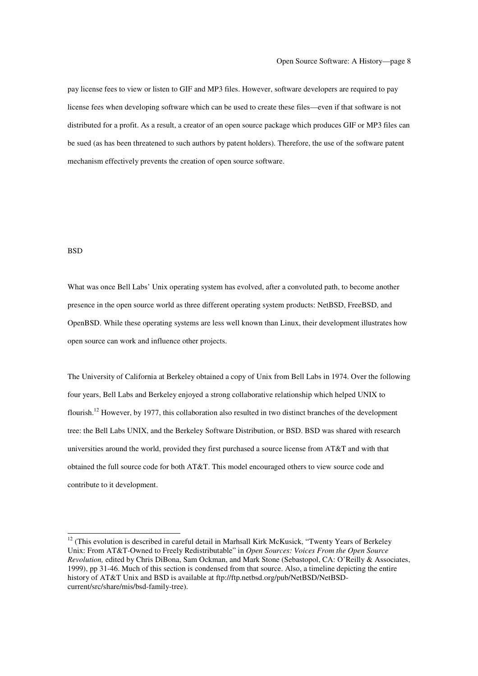pay license fees to view or listen to GIF and MP3 files. However, software developers are required to pay license fees when developing software which can be used to create these files—even if that software is not distributed for a profit. As a result, a creator of an open source package which produces GIF or MP3 files can be sued (as has been threatened to such authors by patent holders). Therefore, the use of the software patent mechanism effectively prevents the creation of open source software.

## **BSD**

What was once Bell Labs' Unix operating system has evolved, after a convoluted path, to become another presence in the open source world as three different operating system products: NetBSD, FreeBSD, and OpenBSD. While these operating systems are less well known than Linux, their development illustrates how open source can work and influence other projects.

The University of California at Berkeley obtained a copy of Unix from Bell Labs in 1974. Over the following four years, Bell Labs and Berkeley enjoyed a strong collaborative relationship which helped UNIX to flourish.<sup>12</sup> However, by 1977, this collaboration also resulted in two distinct branches of the development tree: the Bell Labs UNIX, and the Berkeley Software Distribution, or BSD. BSD was shared with research universities around the world, provided they first purchased a source license from AT&T and with that obtained the full source code for both AT&T. This model encouraged others to view source code and contribute to it development.

<sup>&</sup>lt;sup>12</sup> (This evolution is described in careful detail in Marhsall Kirk McKusick, "Twenty Years of Berkeley Unix: From AT&T-Owned to Freely Redistributable" in *Open Sources: Voices From the Open Source Revolution,* edited by Chris DiBona, Sam Ockman, and Mark Stone (Sebastopol, CA: O'Reilly & Associates, 1999), pp 31-46. Much of this section is condensed from that source. Also, a timeline depicting the entire history of AT&T Unix and BSD is available at ftp://ftp.netbsd.org/pub/NetBSD/NetBSDcurrent/src/share/mis/bsd-family-tree).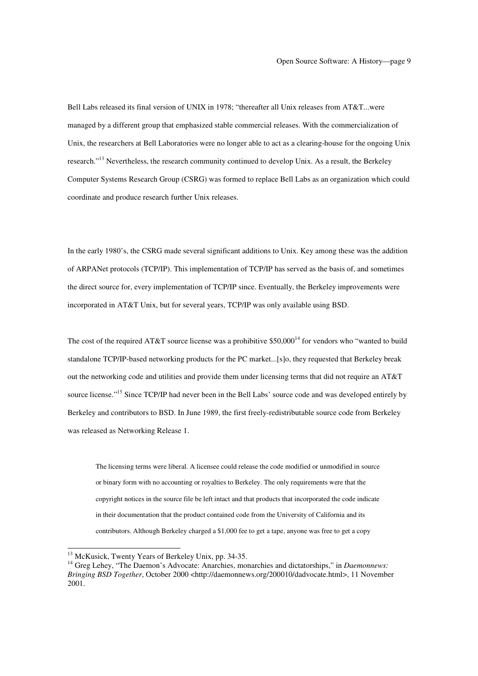Bell Labs released its final version of UNIX in 1978; "thereafter all Unix releases from AT&T...were managed by a different group that emphasized stable commercial releases. With the commercialization of Unix, the researchers at Bell Laboratories were no longer able to act as a clearing-house for the ongoing Unix research."<sup>13</sup> Nevertheless, the research community continued to develop Unix. As a result, the Berkeley Computer Systems Research Group (CSRG) was formed to replace Bell Labs as an organization which could coordinate and produce research further Unix releases.

In the early 1980's, the CSRG made several significant additions to Unix. Key among these was the addition of ARPANet protocols (TCP/IP). This implementation of TCP/IP has served as the basis of, and sometimes the direct source for, every implementation of TCP/IP since. Eventually, the Berkeley improvements were incorporated in AT&T Unix, but for several years, TCP/IP was only available using BSD.

The cost of the required AT&T source license was a prohibitive  $$50,000<sup>14</sup>$  for vendors who "wanted to build standalone TCP/IP-based networking products for the PC market...[s]o, they requested that Berkeley break out the networking code and utilities and provide them under licensing terms that did not require an AT&T source license."<sup>15</sup> Since TCP/IP had never been in the Bell Labs' source code and was developed entirely by Berkeley and contributors to BSD. In June 1989, the first freely-redistributable source code from Berkeley was released as Networking Release 1.

The licensing terms were liberal. A licensee could release the code modified or unmodified in source or binary form with no accounting or royalties to Berkeley. The only requirements were that the copyright notices in the source file be left intact and that products that incorporated the code indicate in their documentation that the product contained code from the University of California and its contributors. Although Berkeley charged a \$1,000 fee to get a tape, anyone was free to get a copy

<sup>&</sup>lt;sup>13</sup> McKusick, Twenty Years of Berkeley Unix, pp. 34-35.<br><sup>14</sup> Greg Lehey, "The Daemon's Advocate: Anarchies, monarchies and dictatorships," in *Daemonnews: Bringing BSD Together*, October 2000 <http://daemonnews.org/200010/dadvocate.html>, 11 November 2001.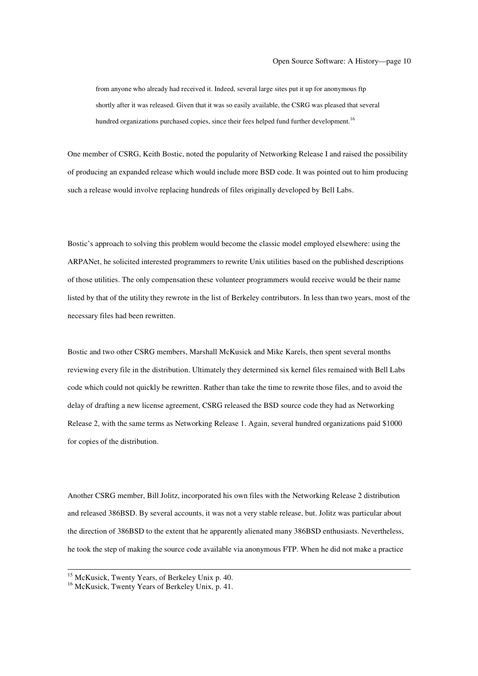from anyone who already had received it. Indeed, several large sites put it up for anonymous ftp shortly after it was released. Given that it was so easily available, the CSRG was pleased that several hundred organizations purchased copies, since their fees helped fund further development.<sup>16</sup>

One member of CSRG, Keith Bostic, noted the popularity of Networking Release I and raised the possibility of producing an expanded release which would include more BSD code. It was pointed out to him producing such a release would involve replacing hundreds of files originally developed by Bell Labs.

Bostic's approach to solving this problem would become the classic model employed elsewhere: using the ARPANet, he solicited interested programmers to rewrite Unix utilities based on the published descriptions of those utilities. The only compensation these volunteer programmers would receive would be their name listed by that of the utility they rewrote in the list of Berkeley contributors. In less than two years, most of the necessary files had been rewritten.

Bostic and two other CSRG members, Marshall McKusick and Mike Karels, then spent several months reviewing every file in the distribution. Ultimately they determined six kernel files remained with Bell Labs code which could not quickly be rewritten. Rather than take the time to rewrite those files, and to avoid the delay of drafting a new license agreement, CSRG released the BSD source code they had as Networking Release 2, with the same terms as Networking Release 1. Again, several hundred organizations paid \$1000 for copies of the distribution.

Another CSRG member, Bill Jolitz, incorporated his own files with the Networking Release 2 distribution and released 386BSD. By several accounts, it was not a very stable release, but. Jolitz was particular about the direction of 386BSD to the extent that he apparently alienated many 386BSD enthusiasts. Nevertheless, he took the step of making the source code available via anonymous FTP. When he did not make a practice

<sup>&</sup>lt;sup>15</sup> McKusick, Twenty Years, of Berkeley Unix p. 40.<br><sup>16</sup> McKusick, Twenty Years of Berkeley Unix, p. 41.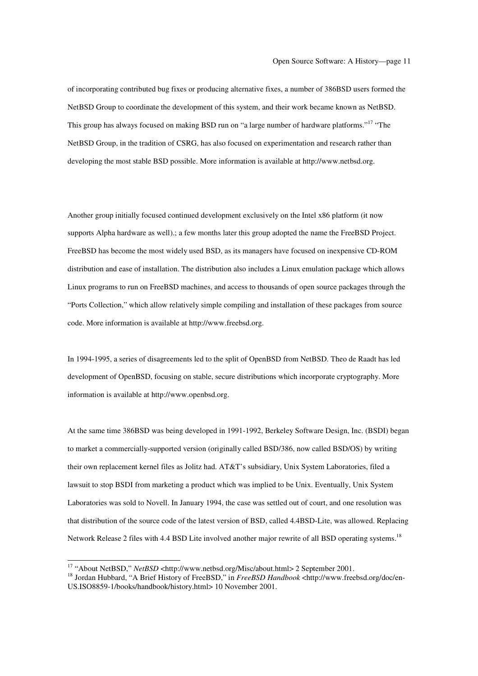of incorporating contributed bug fixes or producing alternative fixes, a number of 386BSD users formed the NetBSD Group to coordinate the development of this system, and their work became known as NetBSD. This group has always focused on making BSD run on "a large number of hardware platforms."<sup>17</sup> "The NetBSD Group, in the tradition of CSRG, has also focused on experimentation and research rather than developing the most stable BSD possible. More information is available at http://www.netbsd.org.

Another group initially focused continued development exclusively on the Intel x86 platform (it now supports Alpha hardware as well).; a few months later this group adopted the name the FreeBSD Project. FreeBSD has become the most widely used BSD, as its managers have focused on inexpensive CD-ROM distribution and ease of installation. The distribution also includes a Linux emulation package which allows Linux programs to run on FreeBSD machines, and access to thousands of open source packages through the "Ports Collection," which allow relatively simple compiling and installation of these packages from source code. More information is available at http://www.freebsd.org.

In 1994-1995, a series of disagreements led to the split of OpenBSD from NetBSD. Theo de Raadt has led development of OpenBSD, focusing on stable, secure distributions which incorporate cryptography. More information is available at http://www.openbsd.org.

At the same time 386BSD was being developed in 1991-1992, Berkeley Software Design, Inc. (BSDI) began to market a commercially-supported version (originally called BSD/386, now called BSD/OS) by writing their own replacement kernel files as Jolitz had. AT&T's subsidiary, Unix System Laboratories, filed a lawsuit to stop BSDI from marketing a product which was implied to be Unix. Eventually, Unix System Laboratories was sold to Novell. In January 1994, the case was settled out of court, and one resolution was that distribution of the source code of the latest version of BSD, called 4.4BSD-Lite, was allowed. Replacing Network Release 2 files with 4.4 BSD Lite involved another major rewrite of all BSD operating systems.<sup>18</sup>

<sup>&</sup>lt;sup>17</sup> "About NetBSD," *NetBSD* <http://www.netbsd.org/Misc/about.html> 2 September 2001.<br><sup>18</sup> Jordan Hubbard, "A Brief History of FreeBSD," in *FreeBSD Handbook* <http://www.freebsd.org/doc/en-US.ISO8859-1/books/handbook/history.html> 10 November 2001.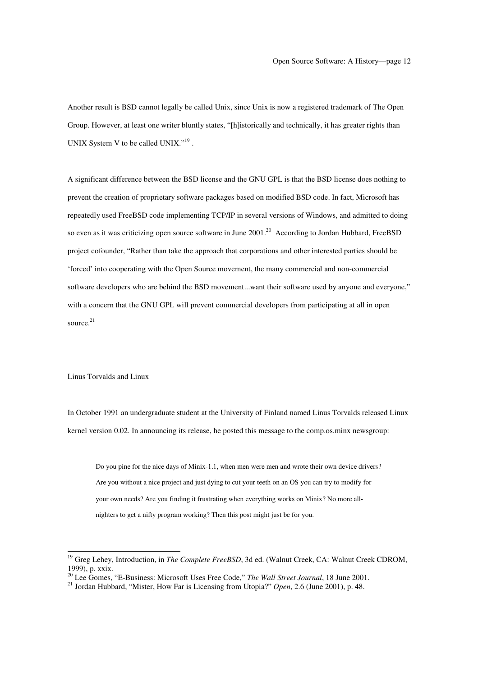Another result is BSD cannot legally be called Unix, since Unix is now a registered trademark of The Open Group. However, at least one writer bluntly states, "[h]istorically and technically, it has greater rights than UNIX System V to be called UNIX."<sup>19</sup>.

A significant difference between the BSD license and the GNU GPL is that the BSD license does nothing to prevent the creation of proprietary software packages based on modified BSD code. In fact, Microsoft has repeatedly used FreeBSD code implementing TCP/IP in several versions of Windows, and admitted to doing so even as it was criticizing open source software in June 2001.<sup>20</sup> According to Jordan Hubbard, FreeBSD project cofounder, "Rather than take the approach that corporations and other interested parties should be 'forced' into cooperating with the Open Source movement, the many commercial and non-commercial software developers who are behind the BSD movement...want their software used by anyone and everyone," with a concern that the GNU GPL will prevent commercial developers from participating at all in open source. 21

Linus Torvalds and Linux

In October 1991 an undergraduate student at the University of Finland named Linus Torvalds released Linux kernel version 0.02. In announcing its release, he posted this message to the comp.os.minx newsgroup:

Do you pine for the nice days of Minix-1.1, when men were men and wrote their own device drivers? Are you without a nice project and just dying to cut your teeth on an OS you can try to modify for your own needs? Are you finding it frustrating when everything works on Minix? No more allnighters to get a nifty program working? Then this post might just be for you.

<sup>&</sup>lt;sup>19</sup> Greg Lehey, Introduction, in *The Complete FreeBSD*, 3d ed. (Walnut Creek, CA: Walnut Creek CDROM, 1999). p. xxix.

<sup>&</sup>lt;sup>20</sup> Lee Gomes, "E-Business: Microsoft Uses Free Code," *The Wall Street Journal*, 18 June 2001.<br><sup>21</sup> Jordan Hubbard, "Mister, How Far is Licensing from Utopia?" *Open*, 2.6 (June 2001), p. 48.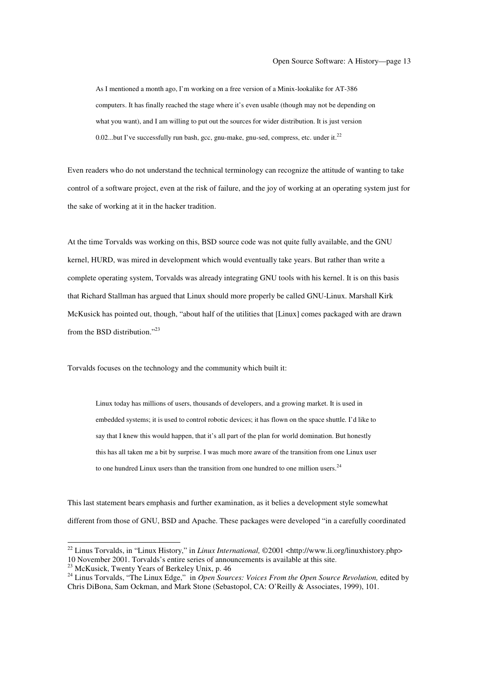As I mentioned a month ago, I'm working on a free version of a Minix-lookalike for AT-386 computers. It has finally reached the stage where it's even usable (though may not be depending on what you want), and I am willing to put out the sources for wider distribution. It is just version 0.02...but I've successfully run bash, gcc, gnu-make, gnu-sed, compress, etc. under it. $^{22}$ 

Even readers who do not understand the technical terminology can recognize the attitude of wanting to take control of a software project, even at the risk of failure, and the joy of working at an operating system just for the sake of working at it in the hacker tradition.

At the time Torvalds was working on this, BSD source code was not quite fully available, and the GNU kernel, HURD, was mired in development which would eventually take years. But rather than write a complete operating system, Torvalds was already integrating GNU tools with his kernel. It is on this basis that Richard Stallman has argued that Linux should more properly be called GNU-Linux. Marshall Kirk McKusick has pointed out, though, "about half of the utilities that [Linux] comes packaged with are drawn from the BSD distribution."<sup>23</sup>

Torvalds focuses on the technology and the community which built it:

Linux today has millions of users, thousands of developers, and a growing market. It is used in embedded systems; it is used to control robotic devices; it has flown on the space shuttle. I'd like to say that I knew this would happen, that it's all part of the plan for world domination. But honestly this has all taken me a bit by surprise. I was much more aware of the transition from one Linux user to one hundred Linux users than the transition from one hundred to one million users.<sup>24</sup>

This last statement bears emphasis and further examination, as it belies a development style somewhat different from those of GNU, BSD and Apache. These packages were developed "in a carefully coordinated

<sup>&</sup>lt;sup>22</sup> Linus Torvalds, in "Linux History," in *Linux International*, ©2001 <http://www.li.org/linuxhistory.php> 10 November 2001. Torvalds's entire series of announcements is available at this site.

<sup>&</sup>lt;sup>23</sup> McKusick, Twenty Years of Berkeley Unix, p. 46<br><sup>24</sup> Linus Torvalds, "The Linux Edge," in *Open Sources: Voices From the Open Source Revolution*, edited by Chris DiBona, Sam Ockman, and Mark Stone (Sebastopol, CA: O'Reilly & Associates, 1999), 101.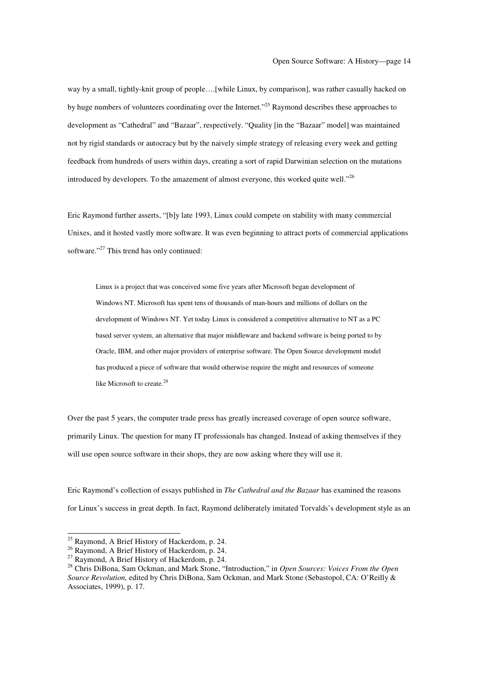way by a small, tightly-knit group of people….[while Linux, by comparison], was rather casually hacked on by huge numbers of volunteers coordinating over the Internet."<sup>25</sup> Raymond describes these approaches to development as "Cathedral" and "Bazaar", respectively. "Quality [in the "Bazaar" model] was maintained not by rigid standards or autocracy but by the naively simple strategy of releasing every week and getting feedback from hundreds of users within days, creating a sort of rapid Darwinian selection on the mutations introduced by developers. To the amazement of almost everyone, this worked quite well." $^{26}$ 

Eric Raymond further asserts, "[b]y late 1993, Linux could compete on stability with many commercial Unixes, and it hosted vastly more software. It was even beginning to attract ports of commercial applications software."<sup>27</sup> This trend has only continued:

Linux is a project that was conceived some five years after Microsoft began development of Windows NT. Microsoft has spent tens of thousands of man-hours and millions of dollars on the development of Windows NT. Yet today Linux is considered a competitive alternative to NT as a PC based server system, an alternative that major middleware and backend software is being ported to by Oracle, IBM, and other major providers of enterprise software. The Open Source development model has produced a piece of software that would otherwise require the might and resources of someone like Microsoft to create.<sup>28</sup>

Over the past 5 years, the computer trade press has greatly increased coverage of open source software, primarily Linux. The question for many IT professionals has changed. Instead of asking themselves if they will use open source software in their shops, they are now asking where they will use it.

Eric Raymond's collection of essays published in *The Cathedral and the Bazaar* has examined the reasons for Linux's success in great depth. In fact, Raymond deliberately imitated Torvalds's development style as an

<sup>&</sup>lt;sup>25</sup> Raymond, A Brief History of Hackerdom, p. 24.<br><sup>26</sup> Raymond, A Brief History of Hackerdom, p. 24.<br><sup>27</sup> Raymond, A Brief History of Hackerdom, p. 24.<br><sup>27</sup> Chris DiBona, Sam Ockman, and Mark Stone, "Introduction," in *O Source Revolution,* edited by Chris DiBona, Sam Ockman, and Mark Stone (Sebastopol, CA: O'Reilly & Associates, 1999), p. 17.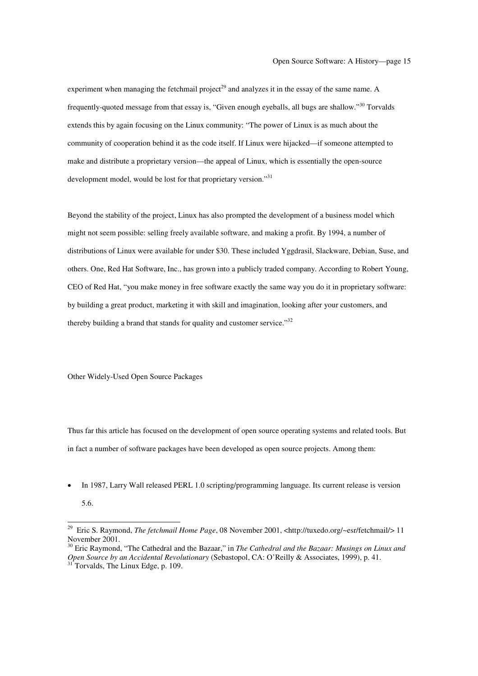experiment when managing the fetchmail project<sup>29</sup> and analyzes it in the essay of the same name. A frequently-quoted message from that essay is, "Given enough eyeballs, all bugs are shallow."<sup>30</sup> Torvalds extends this by again focusing on the Linux community: "The power of Linux is as much about the community of cooperation behind it as the code itself. If Linux were hijacked—if someone attempted to make and distribute a proprietary version—the appeal of Linux, which is essentially the open-source development model, would be lost for that proprietary version."<sup>31</sup>

Beyond the stability of the project, Linux has also prompted the development of a business model which might not seem possible: selling freely available software, and making a profit. By 1994, a number of distributions of Linux were available for under \$30. These included Yggdrasil, Slackware, Debian, Suse, and others. One, Red Hat Software, Inc., has grown into a publicly traded company. According to Robert Young, CEO of Red Hat, "you make money in free software exactly the same way you do it in proprietary software: by building a great product, marketing it with skill and imagination, looking after your customers, and thereby building a brand that stands for quality and customer service." $32$ 

Other Widely-Used Open Source Packages

Thus far this article has focused on the development of open source operating systems and related tools. But in fact a number of software packages have been developed as open source projects. Among them:

• In 1987, Larry Wall released PERL 1.0 scripting/programming language. Its current release is version 5.6.

<sup>&</sup>lt;sup>29</sup> Eric S. Raymond, *The fetchmail Home Page*, 08 November 2001, <http://tuxedo.org/~esr/fetchmail/> 11 November 2001.

<sup>&</sup>lt;sup>30</sup> Eric Raymond, "The Cathedral and the Bazaar," in *The Cathedral and the Bazaar: Musings on Linux and Open Source by an Accidental Revolutionary* (Sebastopol, CA: O'Reilly & Associates, 1999), p. 41. <sup>31</sup> Torvalds, The Linux Edge, p. 109.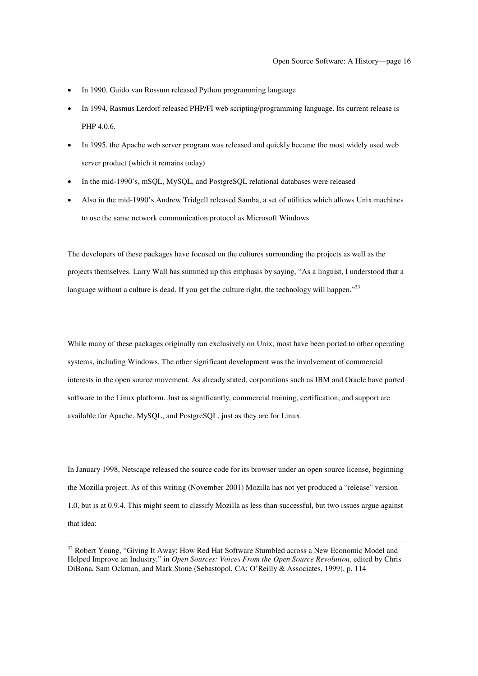- In 1990, Guido van Rossum released Python programming language
- In 1994, Rasmus Lerdorf released PHP/FI web scripting/programming language. Its current release is PHP 4.0.6.
- In 1995, the Apache web server program was released and quickly became the most widely used web server product (which it remains today)
- In the mid-1990's, mSQL, MySQL, and PostgreSQL relational databases were released
- Also in the mid-1990's Andrew Tridgell released Samba, a set of utilities which allows Unix machines to use the same network communication protocol as Microsoft Windows

The developers of these packages have focused on the cultures surrounding the projects as well as the projects themselves. Larry Wall has summed up this emphasis by saying, "As a linguist, I understood that a language without a culture is dead. If you get the culture right, the technology will happen."<sup>33</sup>

While many of these packages originally ran exclusively on Unix, most have been ported to other operating systems, including Windows. The other significant development was the involvement of commercial interests in the open source movement. As already stated, corporations such as IBM and Oracle have ported software to the Linux platform. Just as significantly, commercial training, certification, and support are available for Apache, MySQL, and PostgreSQL, just as they are for Linux.

In January 1998, Netscape released the source code for its browser under an open source license, beginning the Mozilla project. As of this writing (November 2001) Mozilla has not yet produced a "release" version 1.0, but is at 0.9.4. This might seem to classify Mozilla as less than successful, but two issues argue against that idea:

<sup>&</sup>lt;sup>32</sup> Robert Young, "Giving It Away: How Red Hat Software Stumbled across a New Economic Model and Helped Improve an Industry," in *Open Sources: Voices From the Open Source Revolution,* edited by Chris DiBona, Sam Ockman, and Mark Stone (Sebastopol, CA: O'Reilly & Associates, 1999), p. 114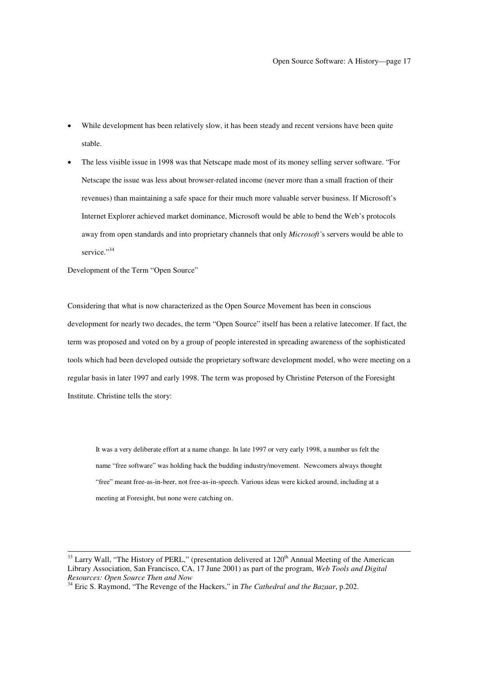- While development has been relatively slow, it has been steady and recent versions have been quite stable.
- The less visible issue in 1998 was that Netscape made most of its money selling server software. "For Netscape the issue was less about browser-related income (never more than a small fraction of their revenues) than maintaining a safe space for their much more valuable server business. If Microsoft's Internet Explorer achieved market dominance, Microsoft would be able to bend the Web's protocols away from open standards and into proprietary channels that only *Microsoft'*s servers would be able to service."<sup>34</sup>

Development of the Term "Open Source"

Considering that what is now characterized as the Open Source Movement has been in conscious development for nearly two decades, the term "Open Source" itself has been a relative latecomer. If fact, the term was proposed and voted on by a group of people interested in spreading awareness of the sophisticated tools which had been developed outside the proprietary software development model, who were meeting on a regular basis in later 1997 and early 1998. The term was proposed by Christine Peterson of the Foresight Institute. Christine tells the story:

It was a very deliberate effort at a name change. In late 1997 or very early 1998, a number us felt the name "free software" was holding back the budding industry/movement. Newcomers always thought "free" meant free-as-in-beer, not free-as-in-speech. Various ideas were kicked around, including at a meeting at Foresight, but none were catching on.

<sup>&</sup>lt;sup>33</sup> Larry Wall, "The History of PERL," (presentation delivered at 120<sup>th</sup> Annual Meeting of the American Library Association, San Francisco, CA, 17 June 2001) as part of the program, *Web Tools and Digital*

<sup>&</sup>lt;sup>34</sup> Eric S. Raymond, "The Revenge of the Hackers," in *The Cathedral and the Bazaar*, p.202.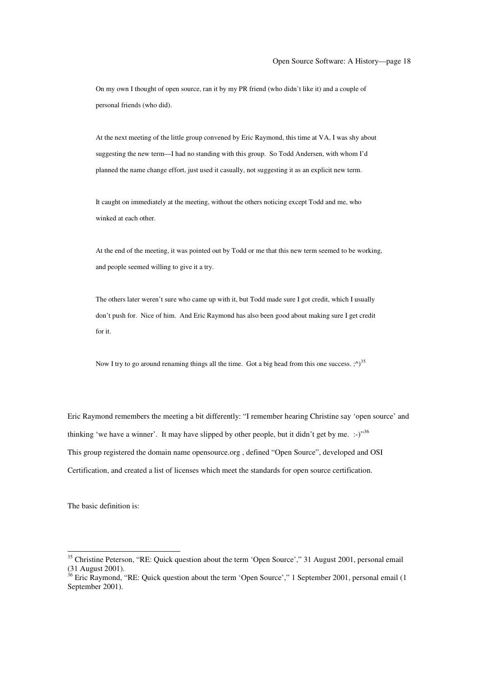On my own I thought of open source, ran it by my PR friend (who didn't like it) and a couple of personal friends (who did).

At the next meeting of the little group convened by Eric Raymond, this time at VA, I was shy about suggesting the new term—I had no standing with this group. So Todd Andersen, with whom I'd planned the name change effort, just used it casually, not suggesting it as an explicit new term.

It caught on immediately at the meeting, without the others noticing except Todd and me, who winked at each other.

At the end of the meeting, it was pointed out by Todd or me that this new term seemed to be working, and people seemed willing to give it a try.

The others later weren't sure who came up with it, but Todd made sure I got credit, which I usually don't push for. Nice of him. And Eric Raymond has also been good about making sure I get credit for it.

Now I try to go around renaming things all the time. Got a big head from this one success.  $\langle \cdot \rangle^{35}$ 

Eric Raymond remembers the meeting a bit differently: "I remember hearing Christine say 'open source' and thinking 'we have a winner'. It may have slipped by other people, but it didn't get by me. :-)"<sup>36</sup> This group registered the domain name opensource.org , defined "Open Source", developed and OSI Certification, and created a list of licenses which meet the standards for open source certification.

The basic definition is:

<sup>&</sup>lt;sup>35</sup> Christine Peterson, "RE: Quick question about the term 'Open Source'," 31 August 2001, personal email (31 August 2001).<br><sup>36</sup> Eric Raymond, "RE: Quick question about the term 'Open Source'," 1 September 2001, personal email (1

September 2001).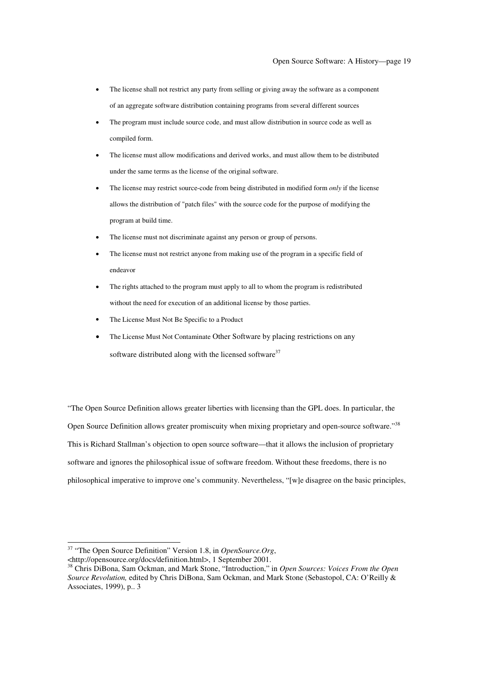- The license shall not restrict any party from selling or giving away the software as a component of an aggregate software distribution containing programs from several different sources
- The program must include source code, and must allow distribution in source code as well as compiled form.
- The license must allow modifications and derived works, and must allow them to be distributed under the same terms as the license of the original software.
- The license may restrict source-code from being distributed in modified form *only* if the license allows the distribution of "patch files" with the source code for the purpose of modifying the program at build time.
- The license must not discriminate against any person or group of persons.
- The license must not restrict anyone from making use of the program in a specific field of endeavor
- The rights attached to the program must apply to all to whom the program is redistributed without the need for execution of an additional license by those parties.
- The License Must Not Be Specific to a Product
- The License Must Not Contaminate Other Software by placing restrictions on any software distributed along with the licensed software<sup>37</sup>

"The Open Source Definition allows greater liberties with licensing than the GPL does. In particular, the Open Source Definition allows greater promiscuity when mixing proprietary and open-source software."<sup>38</sup> This is Richard Stallman's objection to open source software—that it allows the inclusion of proprietary software and ignores the philosophical issue of software freedom. Without these freedoms, there is no philosophical imperative to improve one's community. Nevertheless, "[w]e disagree on the basic principles,

<sup>&</sup>lt;sup>37</sup> "The Open Source Definition" Version 1.8, in *OpenSource.Org*, <br>
<http://opensource.org/docs/definition.html>, 1 September 2001.

 $^{38}$  Chris DiBona, Sam Ockman, and Mark Stone, "Introduction," in *Open Sources: Voices From the Open Source Revolution,* edited by Chris DiBona, Sam Ockman, and Mark Stone (Sebastopol, CA: O'Reilly & Associates, 1999), p.. 3